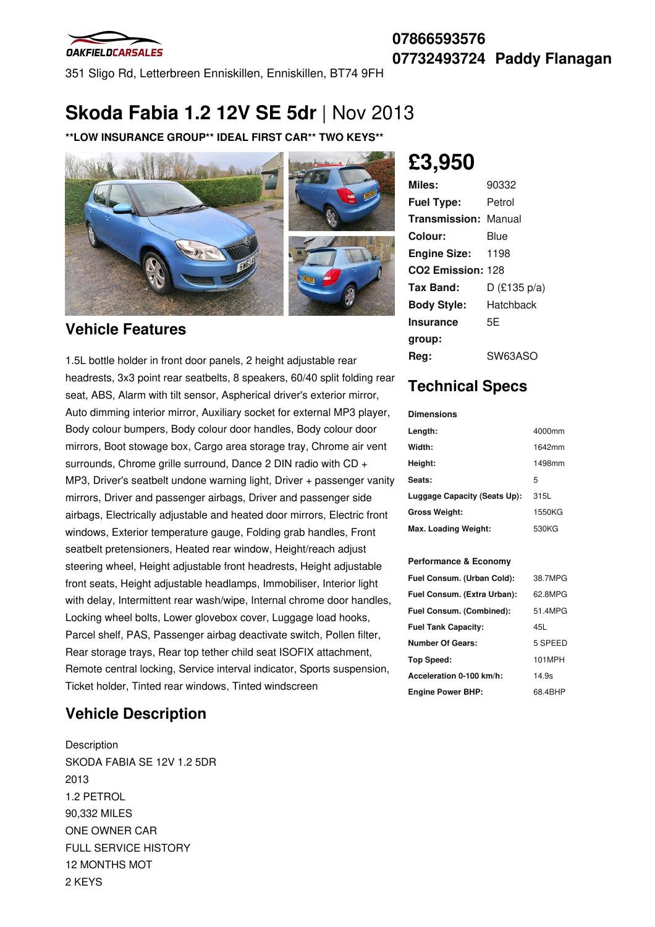

**07866593576 07732493724 Paddy Flanagan**

351 Sligo Rd, Letterbreen Enniskillen, Enniskillen, BT74 9FH

## **Skoda Fabia 1.2 12V SE 5dr** |Nov 2013

**\*\*LOW INSURANCE GROUP\*\* IDEAL FIRST CAR\*\* TWO KEYS\*\***



### **Vehicle Features**

1.5L bottle holder in front door panels, 2 height adjustable rear headrests, 3x3 point rear seatbelts, 8 speakers, 60/40 split folding rear seat, ABS, Alarm with tilt sensor, Aspherical driver's exterior mirror, Auto dimming interior mirror, Auxiliary socket for external MP3 player, Body colour bumpers, Body colour door handles, Body colour door mirrors, Boot stowage box, Cargo area storage tray, Chrome air vent surrounds, Chrome grille surround, Dance 2 DIN radio with CD + MP3, Driver's seatbelt undone warning light, Driver + passenger vanity mirrors, Driver and passenger airbags, Driver and passenger side airbags, Electrically adjustable and heated door mirrors, Electric front windows, Exterior temperature gauge, Folding grab handles, Front seatbelt pretensioners, Heated rear window, Height/reach adjust steering wheel, Height adjustable front headrests, Height adjustable front seats, Height adjustable headlamps, Immobiliser, Interior light with delay, Intermittent rear wash/wipe, Internal chrome door handles, Locking wheel bolts, Lower glovebox cover, Luggage load hooks, Parcel shelf, PAS, Passenger airbag deactivate switch, Pollen filter, Rear storage trays, Rear top tether child seat ISOFIX attachment, Remote central locking, Service interval indicator, Sports suspension, Ticket holder, Tinted rear windows, Tinted windscreen

## **Vehicle Description**

**Description** SKODA FABIA SE 12V 1.2 5DR 2013 1.2 PETROL 90,332 MILES ONE OWNER CAR FULL SERVICE HISTORY 12 MONTHS MOT 2 KEYS

# **£3,950**

| Miles:                        | 90332        |
|-------------------------------|--------------|
| <b>Fuel Type:</b>             | Petrol       |
| <b>Transmission: Manual</b>   |              |
| Colour:                       | Blue         |
| <b>Engine Size:</b>           | 1198         |
| CO <sub>2</sub> Emission: 128 |              |
| Tax Band:                     | D (£135 p/a) |
| <b>Body Style:</b>            | Hatchback    |
| <b>Insurance</b>              | 5Ε           |
| group:                        |              |
| Reg:                          | SW63ASO      |

### **Technical Specs**

#### **Dimensions**

| Length:                      | 4000mm |
|------------------------------|--------|
| Width:                       | 1642mm |
| Height:                      | 1498mm |
| Seats:                       | 5      |
| Luggage Capacity (Seats Up): | 315L   |
| <b>Gross Weight:</b>         | 1550KG |
| Max. Loading Weight:         | 530KG  |

#### **Performance & Economy**

| Fuel Consum. (Urban Cold):  | 38.7MPG |
|-----------------------------|---------|
| Fuel Consum. (Extra Urban): | 62.8MPG |
| Fuel Consum. (Combined):    | 51.4MPG |
| <b>Fuel Tank Capacity:</b>  | 45L     |
| <b>Number Of Gears:</b>     | 5 SPEED |
| <b>Top Speed:</b>           | 101MPH  |
| Acceleration 0-100 km/h:    | 14.9s   |
| <b>Engine Power BHP:</b>    | 68.4BHP |